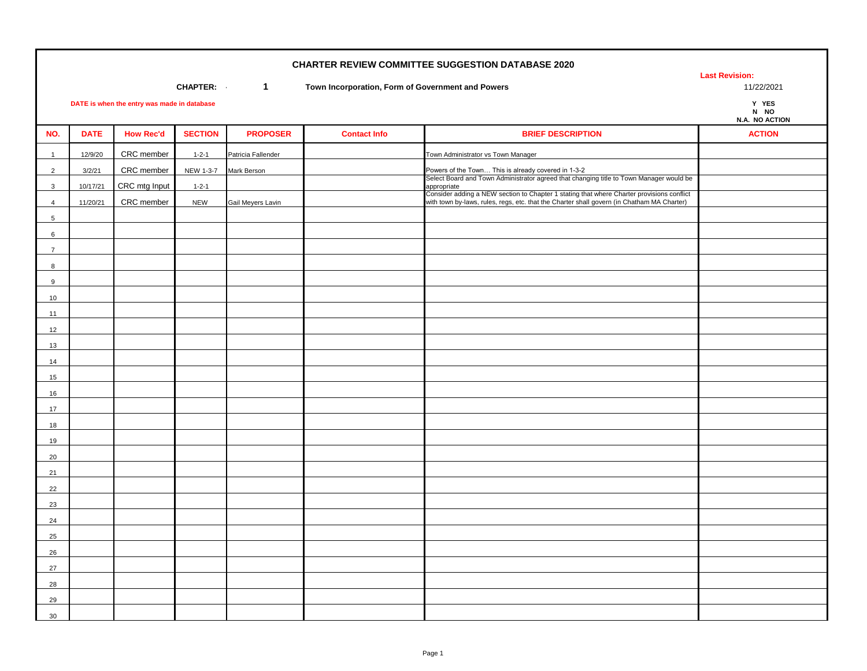**Last Revision:** 

**CHAPTER: 11/22/2021 1 1 Town Incorporation, Form of Government and Powers 11/22/2021 11/22/2021** 

Y YES

|                 |             |                  |                |                    |                     |                                                                                                                                                                                                        | <b>N NU</b><br>N.A. NO ACTION |
|-----------------|-------------|------------------|----------------|--------------------|---------------------|--------------------------------------------------------------------------------------------------------------------------------------------------------------------------------------------------------|-------------------------------|
| NO.             | <b>DATE</b> | <b>How Rec'd</b> | <b>SECTION</b> | <b>PROPOSER</b>    | <b>Contact Info</b> | <b>BRIEF DESCRIPTION</b>                                                                                                                                                                               | <b>ACTION</b>                 |
| $\overline{1}$  | 12/9/20     | CRC member       | $1 - 2 - 1$    | Patricia Fallender |                     | Town Administrator vs Town Manager                                                                                                                                                                     |                               |
| 2               | 3/2/21      | CRC member       | NEW 1-3-7      | Mark Berson        |                     |                                                                                                                                                                                                        |                               |
| $\mathbf{3}$    | 10/17/21    | CRC mtg Input    | $1 - 2 - 1$    |                    |                     | Powers of the Town This is already covered in 1-3-2<br>Select Board and Town Administrator agreed that changing title to Town Manager would be                                                         |                               |
| $\overline{4}$  | 11/20/21    | CRC member       | <b>NEW</b>     | Gail Meyers Lavin  |                     | appropriate<br>Consider adding a NEW section to Chapter 1 stating that where Charter provisions conflict<br>with town by-laws, rules, regs, etc. that the Charter shall govern (in Chatham MA Charter) |                               |
| $5\overline{5}$ |             |                  |                |                    |                     |                                                                                                                                                                                                        |                               |
| $6\phantom{.0}$ |             |                  |                |                    |                     |                                                                                                                                                                                                        |                               |
| $\overline{7}$  |             |                  |                |                    |                     |                                                                                                                                                                                                        |                               |
| 8               |             |                  |                |                    |                     |                                                                                                                                                                                                        |                               |
| 9               |             |                  |                |                    |                     |                                                                                                                                                                                                        |                               |
| 10              |             |                  |                |                    |                     |                                                                                                                                                                                                        |                               |
| 11              |             |                  |                |                    |                     |                                                                                                                                                                                                        |                               |
| 12              |             |                  |                |                    |                     |                                                                                                                                                                                                        |                               |
| 13              |             |                  |                |                    |                     |                                                                                                                                                                                                        |                               |
| 14              |             |                  |                |                    |                     |                                                                                                                                                                                                        |                               |
| 15              |             |                  |                |                    |                     |                                                                                                                                                                                                        |                               |
| 16              |             |                  |                |                    |                     |                                                                                                                                                                                                        |                               |
| 17              |             |                  |                |                    |                     |                                                                                                                                                                                                        |                               |
| 18              |             |                  |                |                    |                     |                                                                                                                                                                                                        |                               |
| 19              |             |                  |                |                    |                     |                                                                                                                                                                                                        |                               |
| 20              |             |                  |                |                    |                     |                                                                                                                                                                                                        |                               |
| 21              |             |                  |                |                    |                     |                                                                                                                                                                                                        |                               |
| 22              |             |                  |                |                    |                     |                                                                                                                                                                                                        |                               |
| 23              |             |                  |                |                    |                     |                                                                                                                                                                                                        |                               |
| 24              |             |                  |                |                    |                     |                                                                                                                                                                                                        |                               |
| 25              |             |                  |                |                    |                     |                                                                                                                                                                                                        |                               |
| 26              |             |                  |                |                    |                     |                                                                                                                                                                                                        |                               |
| 27              |             |                  |                |                    |                     |                                                                                                                                                                                                        |                               |
| 28              |             |                  |                |                    |                     |                                                                                                                                                                                                        |                               |
| 29              |             |                  |                |                    |                     |                                                                                                                                                                                                        |                               |
| 30              |             |                  |                |                    |                     |                                                                                                                                                                                                        |                               |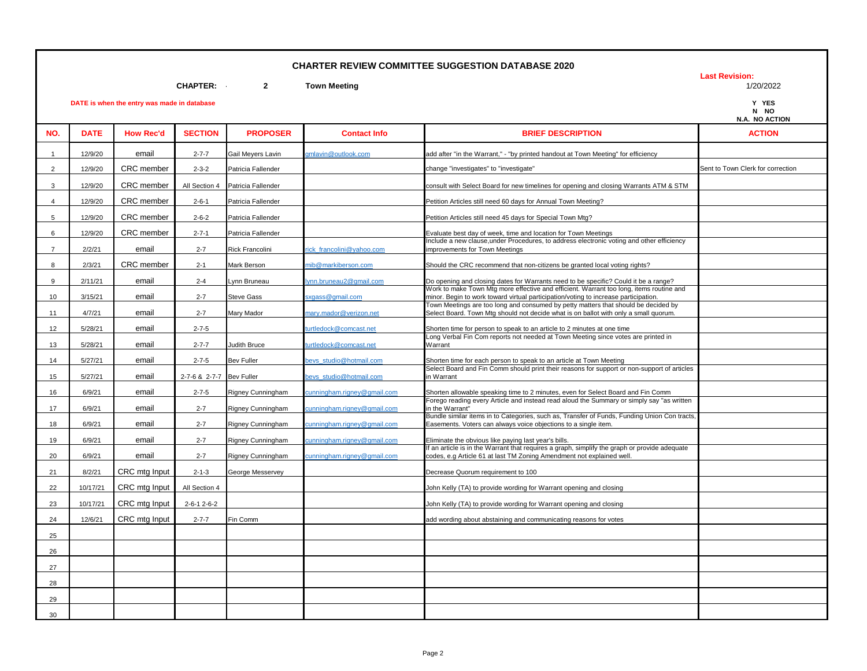**Last Revision:** 

**DATE is when the entry was made in database Y YES**

**CHAPTER: - 2 Town Meeting** 1/20/2022

|  | .              |
|--|----------------|
|  | N NO           |
|  | N.A. NO ACTION |

|                |             |                  |                          |                    |                             |                                                                                                                                                                                | N.A. NO ACTION                    |
|----------------|-------------|------------------|--------------------------|--------------------|-----------------------------|--------------------------------------------------------------------------------------------------------------------------------------------------------------------------------|-----------------------------------|
| NO.            | <b>DATE</b> | <b>How Rec'd</b> | <b>SECTION</b>           | <b>PROPOSER</b>    | <b>Contact Info</b>         | <b>BRIEF DESCRIPTION</b>                                                                                                                                                       | <b>ACTION</b>                     |
| $\mathbf{1}$   | 12/9/20     | email            | $2 - 7 - 7$              | Gail Meyers Lavin  | umlavin@outlook.com         | add after "in the Warrant," - "by printed handout at Town Meeting" for efficiency                                                                                              |                                   |
| $\overline{2}$ | 12/9/20     | CRC member       | $2 - 3 - 2$              | Patricia Fallender |                             | change "investigates" to "investigate"                                                                                                                                         | Sent to Town Clerk for correction |
| 3              | 12/9/20     | CRC member       | All Section 4            | Patricia Fallender |                             | consult with Select Board for new timelines for opening and closing Warrants ATM & STM                                                                                         |                                   |
| $\overline{4}$ | 12/9/20     | CRC member       | $2 - 6 - 1$              | Patricia Fallender |                             | Petition Articles still need 60 days for Annual Town Meeting?                                                                                                                  |                                   |
| 5              | 12/9/20     | CRC member       | $2 - 6 - 2$              | Patricia Fallender |                             | Petition Articles still need 45 days for Special Town Mtg?                                                                                                                     |                                   |
| 6              | 12/9/20     | CRC member       | $2 - 7 - 1$              | Patricia Fallender |                             | Evaluate best day of week, time and location for Town Meetings                                                                                                                 |                                   |
| $\overline{7}$ | 2/2/21      | email            | $2 - 7$                  | Rick Francolini    | ick francolini@vahoo.com    | Include a new clause, under Procedures, to address electronic voting and other efficiency<br>improvements for Town Meetings                                                    |                                   |
| 8              | 2/3/21      | CRC member       | $2 - 1$                  | Mark Berson        | nib@markiberson.com         | Should the CRC recommend that non-citizens be granted local voting rights?                                                                                                     |                                   |
| 9              | 2/11/21     | email            | $2 - 4$                  | ynn Bruneau        | vnn.bruneau2@gmail.com      | Do opening and closing dates for Warrants need to be specific? Could it be a range?                                                                                            |                                   |
| 10             | 3/15/21     | email            | $2 - 7$                  | <b>Steve Gass</b>  | sxgass@gmail.com            | Work to make Town Mtg more effective and efficient. Warrant too long, items routine and<br>minor. Begin to work toward virtual participation/voting to increase participation. |                                   |
| 11             | 4/7/21      | email            | $2 - 7$                  | Mary Mador         | nary.mador@verizon.net      | Town Meetings are too long and consumed by petty matters that should be decided by<br>Select Board. Town Mtg should not decide what is on ballot with only a small quorum.     |                                   |
| 12             | 5/28/21     | email            | $2 - 7 - 5$              |                    | urtledock@comcast.net       | Shorten time for person to speak to an article to 2 minutes at one time                                                                                                        |                                   |
| 13             | 5/28/21     | email            | $2 - 7 - 7$              | Judith Bruce       | urtledock@comcast.net       | Long Verbal Fin Com reports not needed at Town Meeting since votes are printed in<br>Warrant                                                                                   |                                   |
| 14             | 5/27/21     | email            | $2 - 7 - 5$              | <b>Bev Fuller</b>  | beys studio@hotmail.com     | Shorten time for each person to speak to an article at Town Meeting                                                                                                            |                                   |
| 15             | 5/27/21     | email            | 2-7-6 & 2-7-7 Bev Fuller |                    | beys studio@hotmail.com     | Select Board and Fin Comm should print their reasons for support or non-support of articles<br>in Warrant                                                                      |                                   |
| 16             | 6/9/21      | email            | $2 - 7 - 5$              | Rigney Cunningham  | cunningham.rigney@gmail.com | Shorten allowable speaking time to 2 minutes, even for Select Board and Fin Comm                                                                                               |                                   |
| 17             | 6/9/21      | email            | $2 - 7$                  | Rigney Cunningham  | cunningham.rigney@gmail.com | Forego reading every Article and instead read aloud the Summary or simply say "as written<br>in the Warrant"                                                                   |                                   |
| 18             | 6/9/21      | email            | $2 - 7$                  | Rigney Cunningham  | cunningham.rigney@gmail.com | Bundle similar items in to Categories, such as, Transfer of Funds, Funding Union Con tracts,<br>Easements. Voters can always voice objections to a single item.                |                                   |
| 19             | 6/9/21      | email            | $2 - 7$                  | Rigney Cunningham  | unningham.rigney@gmail.com  | Eliminate the obvious like paying last year's bills.                                                                                                                           |                                   |
| 20             | 6/9/21      | email            | $2 - 7$                  | Rigney Cunningham  | cunningham.rigney@gmail.com | If an article is in the Warrant that requires a graph, simplify the graph or provide adequate<br>codes, e.g Article 61 at last TM Zoning Amendment not explained well.         |                                   |
| 21             | 8/2/21      | CRC mtg Input    | $2 - 1 - 3$              | George Messervey   |                             | Decrease Quorum requirement to 100                                                                                                                                             |                                   |
| 22             | 10/17/21    | CRC mtg Input    | All Section 4            |                    |                             | John Kelly (TA) to provide wording for Warrant opening and closing                                                                                                             |                                   |
| 23             | 10/17/21    | CRC mtg Input    | 2-6-1 2-6-2              |                    |                             | John Kelly (TA) to provide wording for Warrant opening and closing                                                                                                             |                                   |
| 24             | 12/6/21     | CRC mtg Input    | $2 - 7 - 7$              | Fin Comm           |                             | add wording about abstaining and communicating reasons for votes                                                                                                               |                                   |
| 25             |             |                  |                          |                    |                             |                                                                                                                                                                                |                                   |
| 26             |             |                  |                          |                    |                             |                                                                                                                                                                                |                                   |
| 27             |             |                  |                          |                    |                             |                                                                                                                                                                                |                                   |
| 28             |             |                  |                          |                    |                             |                                                                                                                                                                                |                                   |
| 29             |             |                  |                          |                    |                             |                                                                                                                                                                                |                                   |
| 30             |             |                  |                          |                    |                             |                                                                                                                                                                                |                                   |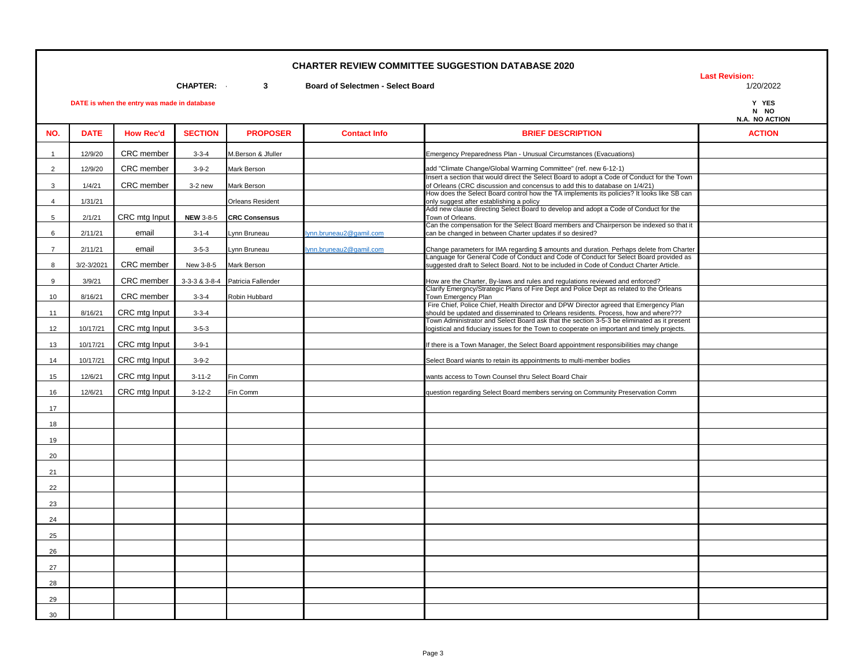**Last Revision:** 

**CHAPTER: - 3 Board of Selectmen - Select Board** 1/20/2022

|     |             |                  |                |                         |                     |                                                                                                                                                                            | N NO<br>N.A. NO ACTION |
|-----|-------------|------------------|----------------|-------------------------|---------------------|----------------------------------------------------------------------------------------------------------------------------------------------------------------------------|------------------------|
| NO. | <b>DATE</b> | <b>How Rec'd</b> | <b>SECTION</b> | <b>PROPOSER</b>         | <b>Contact Info</b> | <b>BRIEF DESCRIPTION</b>                                                                                                                                                   | <b>ACTION</b>          |
|     | 12/9/20     | CRC member       | $3 - 3 - 4$    | M.Berson & Jfuller      |                     | Emergency Preparedness Plan - Unusual Circumstances (Evacuations)                                                                                                          |                        |
| 2   | 12/9/20     | CRC member       | $3 - 9 - 2$    | Mark Berson             |                     | add "Climate Change/Global Warming Committee" (ref. new 6-12-1)                                                                                                            |                        |
| 3   | 1/4/21      | CRC member       | $3-2$ new      | Mark Berson             |                     | Insert a section that would direct the Select Board to adopt a Code of Conduct for the Town<br>of Orleans (CRC discussion and concensus to add this to database on 1/4/21) |                        |
| 4   | 1/31/21     |                  |                | <b>Orleans Resident</b> |                     | How does the Select Board control how the TA implements its policies? It looks like SB can<br>only suggest after establishing a policy                                     |                        |
|     | 2/1/21      | CRC mta Innut    |                | NEW 3-8-5 CRC Consensus |                     | Add new clause directing Select Board to develop and adopt a Code of Conduct for the<br>Town of Orleans                                                                    |                        |

| $\overline{2}$ | 12/9/20    | CRC member    | $3 - 9 - 2$      | Mark Berson             |                        | add "Climate Change/Global Warming Committee" (ref. new 6-12-1)                                                                                                                           |  |
|----------------|------------|---------------|------------------|-------------------------|------------------------|-------------------------------------------------------------------------------------------------------------------------------------------------------------------------------------------|--|
| 3              | 1/4/21     | CRC member    | 3-2 new          | Mark Berson             |                        | Insert a section that would direct the Select Board to adopt a Code of Conduct for the Town<br>of Orleans (CRC discussion and concensus to add this to database on 1/4/21)                |  |
| $\overline{4}$ | 1/31/21    |               |                  | <b>Orleans Resident</b> |                        | How does the Select Board control how the TA implements its policies? It looks like SB can<br>only suggest after establishing a policy                                                    |  |
| 5              | 2/1/21     | CRC mtg Input | <b>NEW 3-8-5</b> | <b>CRC Consensus</b>    |                        | Add new clause directing Select Board to develop and adopt a Code of Conduct for the<br>Town of Orleans.                                                                                  |  |
| 6              | 2/11/21    | email         | $3 - 1 - 4$      | vnn Bruneau             | vnn.bruneau2@gamil.com | Can the compensation for the Select Board members and Chairperson be indexed so that it<br>can be changed in between Charter updates if so desired?                                       |  |
| $\overline{7}$ | 2/11/21    | email         | $3 - 5 - 3$      | vnn Bruneau             | vnn.bruneau2@gamil.com | Change parameters for IMA regarding \$ amounts and duration. Perhaps delete from Charter                                                                                                  |  |
| 8              | 3/2-3/2021 | CRC member    | New 3-8-5        | Mark Berson             |                        | Language for General Code of Conduct and Code of Conduct for Select Board provided as<br>suggested draft to Select Board. Not to be included in Code of Conduct Charter Article.          |  |
| 9              | 3/9/21     | CRC member    | 3-3-3 & 3-8-4    | Patricia Fallender      |                        | How are the Charter, By-laws and rules and regulations reviewed and enforced?                                                                                                             |  |
| 10             | 8/16/21    | CRC member    | $3 - 3 - 4$      | Robin Hubbard           |                        | Clarify Emergncy/Strategic Plans of Fire Dept and Police Dept as related to the Orleans<br>Town Emergency Plan                                                                            |  |
| 11             | 8/16/21    | CRC mtg Input | $3 - 3 - 4$      |                         |                        | Fire Chief, Police Chief, Health Director and DPW Director agreed that Emergency Plan<br>should be updated and disseminated to Orleans residents. Process, how and where???               |  |
| 12             | 10/17/21   | CRC mtg Input | $3 - 5 - 3$      |                         |                        | Town Administrator and Select Board ask that the section 3-5-3 be eliminated as it present<br>logistical and fiduciary issues for the Town to cooperate on important and timely projects. |  |
| 13             | 10/17/21   | CRC mtg Input | $3 - 9 - 1$      |                         |                        | If there is a Town Manager, the Select Board appointment responsibilities may change                                                                                                      |  |
| 14             | 10/17/21   | CRC mtg Input | $3 - 9 - 2$      |                         |                        | Select Board wiants to retain its appointments to multi-member bodies                                                                                                                     |  |
| 15             | 12/6/21    | CRC mtg Input | $3 - 11 - 2$     | Fin Comm                |                        | wants access to Town Counsel thru Select Board Chair                                                                                                                                      |  |
| 16             | 12/6/21    | CRC mtg Input | $3-12-2$         | Fin Comm                |                        | question regarding Select Board members serving on Community Preservation Comm                                                                                                            |  |
| 17             |            |               |                  |                         |                        |                                                                                                                                                                                           |  |
| 18             |            |               |                  |                         |                        |                                                                                                                                                                                           |  |
| 19             |            |               |                  |                         |                        |                                                                                                                                                                                           |  |
| 20             |            |               |                  |                         |                        |                                                                                                                                                                                           |  |
| 21             |            |               |                  |                         |                        |                                                                                                                                                                                           |  |
| 22             |            |               |                  |                         |                        |                                                                                                                                                                                           |  |
| 23             |            |               |                  |                         |                        |                                                                                                                                                                                           |  |
| 24             |            |               |                  |                         |                        |                                                                                                                                                                                           |  |
| 25             |            |               |                  |                         |                        |                                                                                                                                                                                           |  |
| 26             |            |               |                  |                         |                        |                                                                                                                                                                                           |  |
| 27             |            |               |                  |                         |                        |                                                                                                                                                                                           |  |
| 28             |            |               |                  |                         |                        |                                                                                                                                                                                           |  |
| 29             |            |               |                  |                         |                        |                                                                                                                                                                                           |  |
| 30             |            |               |                  |                         |                        |                                                                                                                                                                                           |  |
|                |            |               |                  |                         |                        |                                                                                                                                                                                           |  |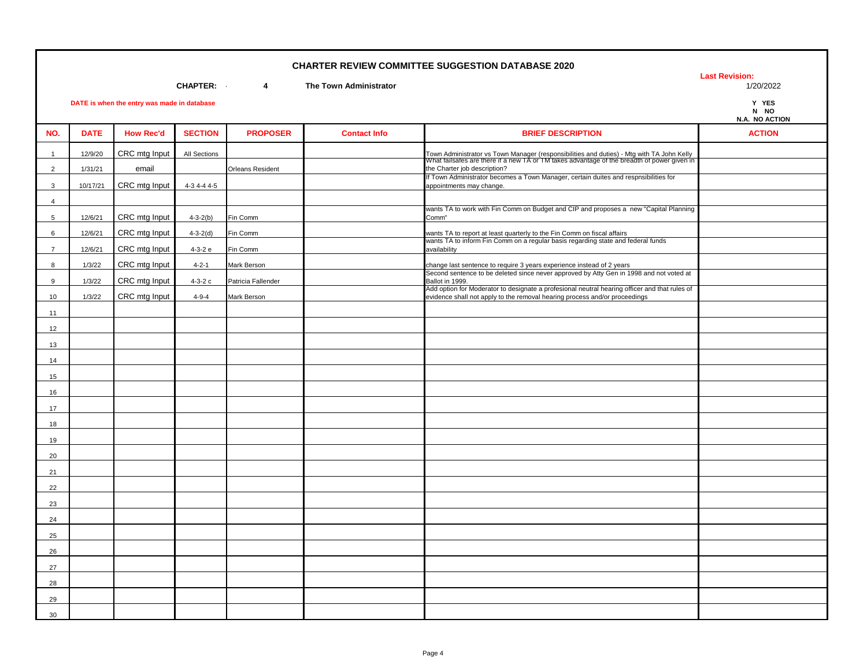**Last Revision:** 

**CHAPTER: - 4 The Town Administrator** 1/20/2022

| N NO |                |
|------|----------------|
|      | N.A. NO ACTION |

|                 |             |                  |                |                         |                     |                                                                                                                                                                                                                          | N.A. NO ACTION |
|-----------------|-------------|------------------|----------------|-------------------------|---------------------|--------------------------------------------------------------------------------------------------------------------------------------------------------------------------------------------------------------------------|----------------|
| NO.             | <b>DATE</b> | <b>How Rec'd</b> | <b>SECTION</b> | <b>PROPOSER</b>         | <b>Contact Info</b> | <b>BRIEF DESCRIPTION</b>                                                                                                                                                                                                 | <b>ACTION</b>  |
| $\mathbf{1}$    | 12/9/20     | CRC mtg Input    | All Sections   |                         |                     |                                                                                                                                                                                                                          |                |
| $\overline{2}$  | 1/31/21     | email            |                | <b>Orleans Resident</b> |                     | Town Administrator vs Town Manager (responsibilities and duties) - Mtg with TA John Kelly<br>What failsafes are there if a new TA or TM takes advantage of the breadth of power given in<br>the Charter job description? |                |
| 3               | 10/17/21    | CRC mtg Input    | $4-3$ 4-4 4-5  |                         |                     | If Town Administrator becomes a Town Manager, certain duites and respnsibilities for<br>appointments may change.                                                                                                         |                |
| $\overline{4}$  |             |                  |                |                         |                     |                                                                                                                                                                                                                          |                |
| $5\overline{5}$ | 12/6/21     | CRC mtg Input    | $4 - 3 - 2(b)$ | Fin Comm                |                     | wants TA to work with Fin Comm on Budget and CIP and proposes a new "Capital Planning<br>Comm"                                                                                                                           |                |
| 6               | 12/6/21     | CRC mtg Input    | $4 - 3 - 2(d)$ | Fin Comm                |                     | wants TA to report at least quarterly to the Fin Comm on fiscal affairs                                                                                                                                                  |                |
|                 |             |                  |                |                         |                     | wants TA to inform Fin Comm on a regular basis regarding state and federal funds                                                                                                                                         |                |
| $\overline{7}$  | 12/6/21     | CRC mtg Input    | 4-3-2 e        | Fin Comm                |                     | availability                                                                                                                                                                                                             |                |
| 8               | 1/3/22      | CRC mtg Input    | $4 - 2 - 1$    | Mark Berson             |                     | change last sentence to require 3 years experience instead of 2 years<br>Second sentence to be deleted since never approved by Atty Gen in 1998 and not voted at                                                         |                |
| 9               | 1/3/22      | CRC mtg Input    | $4-3-2c$       | Patricia Fallender      |                     | Ballot in 1999.                                                                                                                                                                                                          |                |
| 10              | 1/3/22      | CRC mtg Input    | $4 - 9 - 4$    | Mark Berson             |                     | Add option for Moderator to designate a profesional neutral hearing officer and that rules of<br>evidence shall not apply to the removal hearing process and/or proceedings                                              |                |
| 11              |             |                  |                |                         |                     |                                                                                                                                                                                                                          |                |
| 12              |             |                  |                |                         |                     |                                                                                                                                                                                                                          |                |
| 13              |             |                  |                |                         |                     |                                                                                                                                                                                                                          |                |
| 14              |             |                  |                |                         |                     |                                                                                                                                                                                                                          |                |
| 15              |             |                  |                |                         |                     |                                                                                                                                                                                                                          |                |
| 16              |             |                  |                |                         |                     |                                                                                                                                                                                                                          |                |
| 17              |             |                  |                |                         |                     |                                                                                                                                                                                                                          |                |
| 18              |             |                  |                |                         |                     |                                                                                                                                                                                                                          |                |
| 19              |             |                  |                |                         |                     |                                                                                                                                                                                                                          |                |
| 20              |             |                  |                |                         |                     |                                                                                                                                                                                                                          |                |
| 21              |             |                  |                |                         |                     |                                                                                                                                                                                                                          |                |
| 22              |             |                  |                |                         |                     |                                                                                                                                                                                                                          |                |
| 23              |             |                  |                |                         |                     |                                                                                                                                                                                                                          |                |
| 24              |             |                  |                |                         |                     |                                                                                                                                                                                                                          |                |
| 25              |             |                  |                |                         |                     |                                                                                                                                                                                                                          |                |
| 26              |             |                  |                |                         |                     |                                                                                                                                                                                                                          |                |
| 27              |             |                  |                |                         |                     |                                                                                                                                                                                                                          |                |
| 28              |             |                  |                |                         |                     |                                                                                                                                                                                                                          |                |
| 29              |             |                  |                |                         |                     |                                                                                                                                                                                                                          |                |
| 30              |             |                  |                |                         |                     |                                                                                                                                                                                                                          |                |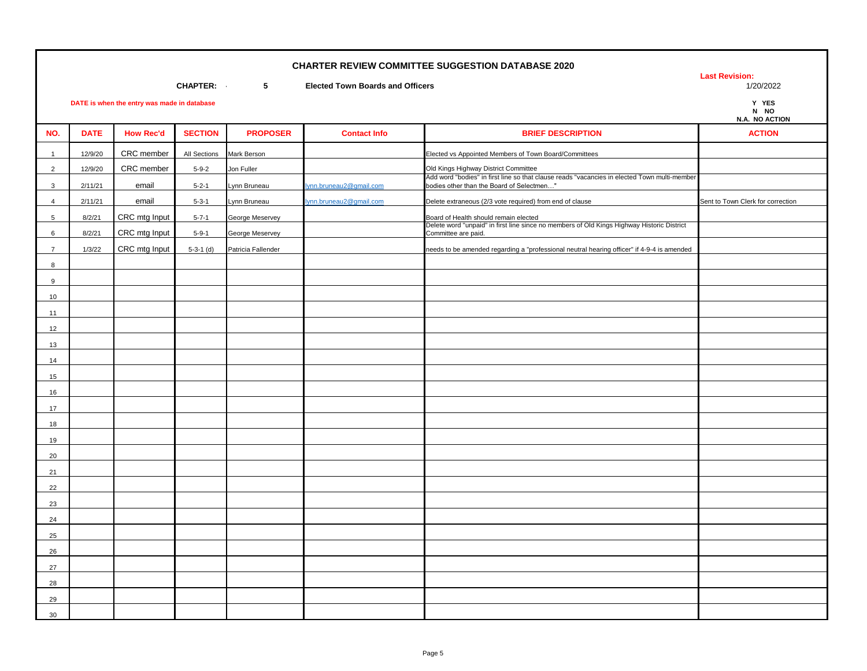**Last Revision:** 

**N NO N.A. NO ACTION**

**CHAPTER:** 5 **Elected Town Boards and Officers** 

**DATE is when the entry was made in database** 

| CRC member<br>Mark Berson<br>Elected vs Appointed Members of Town Board/Committees<br>12/9/20<br>All Sections<br>$\mathbf{1}$<br>CRC member<br>Old Kings Highway District Committee<br>Jon Fuller<br>$\overline{2}$<br>12/9/20<br>$5 - 9 - 2$<br>Add word "bodies" in first line so that clause reads "vacancies in elected Town multi-member<br>bodies other than the Board of Selectmen"<br>email<br>ynn.bruneau2@gmail.com<br>$\mathbf{3}$<br>2/11/21<br>$5 - 2 - 1$<br>Lynn Bruneau<br>Delete extraneous (2/3 vote required) from end of clause<br>Sent to Town Clerk for correction<br>2/11/21<br>email<br>$5 - 3 - 1$<br>Lynn Bruneau<br>ynn.bruneau2@gmail.com<br>$\overline{4}$<br>CRC mtg Input<br>George Meservey<br>$5\phantom{.0}$<br>8/2/21<br>$5 - 7 - 1$<br>Board of Health should remain elected<br>Delete word "unpaid" in first line since no members of Old Kings Highway Historic District<br>CRC mtg Input<br>Committee are paid.<br>6<br>8/2/21<br>$5 - 9 - 1$<br>George Meservey<br>CRC mtg Input<br>Patricia Fallender<br>$\overline{7}$<br>1/3/22<br>$5-3-1$ (d)<br>needs to be amended regarding a "professional neutral hearing officer" if 4-9-4 is amended<br>8<br>9<br>10<br>11<br>12<br>13<br>14<br>15<br>16<br>17<br>18<br>19<br>20<br>21<br>22<br>23<br>24<br>25<br>26<br>27<br>28 | NO. | <b>DATE</b> | <b>How Rec'd</b> | <b>SECTION</b> | <b>PROPOSER</b> | <b>Contact Info</b> | <b>BRIEF DESCRIPTION</b> | <b>ACTION</b> |
|---------------------------------------------------------------------------------------------------------------------------------------------------------------------------------------------------------------------------------------------------------------------------------------------------------------------------------------------------------------------------------------------------------------------------------------------------------------------------------------------------------------------------------------------------------------------------------------------------------------------------------------------------------------------------------------------------------------------------------------------------------------------------------------------------------------------------------------------------------------------------------------------------------------------------------------------------------------------------------------------------------------------------------------------------------------------------------------------------------------------------------------------------------------------------------------------------------------------------------------------------------------------------------------------------------------------|-----|-------------|------------------|----------------|-----------------|---------------------|--------------------------|---------------|
|                                                                                                                                                                                                                                                                                                                                                                                                                                                                                                                                                                                                                                                                                                                                                                                                                                                                                                                                                                                                                                                                                                                                                                                                                                                                                                                     |     |             |                  |                |                 |                     |                          |               |
|                                                                                                                                                                                                                                                                                                                                                                                                                                                                                                                                                                                                                                                                                                                                                                                                                                                                                                                                                                                                                                                                                                                                                                                                                                                                                                                     |     |             |                  |                |                 |                     |                          |               |
|                                                                                                                                                                                                                                                                                                                                                                                                                                                                                                                                                                                                                                                                                                                                                                                                                                                                                                                                                                                                                                                                                                                                                                                                                                                                                                                     |     |             |                  |                |                 |                     |                          |               |
|                                                                                                                                                                                                                                                                                                                                                                                                                                                                                                                                                                                                                                                                                                                                                                                                                                                                                                                                                                                                                                                                                                                                                                                                                                                                                                                     |     |             |                  |                |                 |                     |                          |               |
|                                                                                                                                                                                                                                                                                                                                                                                                                                                                                                                                                                                                                                                                                                                                                                                                                                                                                                                                                                                                                                                                                                                                                                                                                                                                                                                     |     |             |                  |                |                 |                     |                          |               |
|                                                                                                                                                                                                                                                                                                                                                                                                                                                                                                                                                                                                                                                                                                                                                                                                                                                                                                                                                                                                                                                                                                                                                                                                                                                                                                                     |     |             |                  |                |                 |                     |                          |               |
|                                                                                                                                                                                                                                                                                                                                                                                                                                                                                                                                                                                                                                                                                                                                                                                                                                                                                                                                                                                                                                                                                                                                                                                                                                                                                                                     |     |             |                  |                |                 |                     |                          |               |
|                                                                                                                                                                                                                                                                                                                                                                                                                                                                                                                                                                                                                                                                                                                                                                                                                                                                                                                                                                                                                                                                                                                                                                                                                                                                                                                     |     |             |                  |                |                 |                     |                          |               |
|                                                                                                                                                                                                                                                                                                                                                                                                                                                                                                                                                                                                                                                                                                                                                                                                                                                                                                                                                                                                                                                                                                                                                                                                                                                                                                                     |     |             |                  |                |                 |                     |                          |               |
|                                                                                                                                                                                                                                                                                                                                                                                                                                                                                                                                                                                                                                                                                                                                                                                                                                                                                                                                                                                                                                                                                                                                                                                                                                                                                                                     |     |             |                  |                |                 |                     |                          |               |
|                                                                                                                                                                                                                                                                                                                                                                                                                                                                                                                                                                                                                                                                                                                                                                                                                                                                                                                                                                                                                                                                                                                                                                                                                                                                                                                     |     |             |                  |                |                 |                     |                          |               |
|                                                                                                                                                                                                                                                                                                                                                                                                                                                                                                                                                                                                                                                                                                                                                                                                                                                                                                                                                                                                                                                                                                                                                                                                                                                                                                                     |     |             |                  |                |                 |                     |                          |               |
|                                                                                                                                                                                                                                                                                                                                                                                                                                                                                                                                                                                                                                                                                                                                                                                                                                                                                                                                                                                                                                                                                                                                                                                                                                                                                                                     |     |             |                  |                |                 |                     |                          |               |
|                                                                                                                                                                                                                                                                                                                                                                                                                                                                                                                                                                                                                                                                                                                                                                                                                                                                                                                                                                                                                                                                                                                                                                                                                                                                                                                     |     |             |                  |                |                 |                     |                          |               |
|                                                                                                                                                                                                                                                                                                                                                                                                                                                                                                                                                                                                                                                                                                                                                                                                                                                                                                                                                                                                                                                                                                                                                                                                                                                                                                                     |     |             |                  |                |                 |                     |                          |               |
|                                                                                                                                                                                                                                                                                                                                                                                                                                                                                                                                                                                                                                                                                                                                                                                                                                                                                                                                                                                                                                                                                                                                                                                                                                                                                                                     |     |             |                  |                |                 |                     |                          |               |
|                                                                                                                                                                                                                                                                                                                                                                                                                                                                                                                                                                                                                                                                                                                                                                                                                                                                                                                                                                                                                                                                                                                                                                                                                                                                                                                     |     |             |                  |                |                 |                     |                          |               |
|                                                                                                                                                                                                                                                                                                                                                                                                                                                                                                                                                                                                                                                                                                                                                                                                                                                                                                                                                                                                                                                                                                                                                                                                                                                                                                                     |     |             |                  |                |                 |                     |                          |               |
|                                                                                                                                                                                                                                                                                                                                                                                                                                                                                                                                                                                                                                                                                                                                                                                                                                                                                                                                                                                                                                                                                                                                                                                                                                                                                                                     |     |             |                  |                |                 |                     |                          |               |
|                                                                                                                                                                                                                                                                                                                                                                                                                                                                                                                                                                                                                                                                                                                                                                                                                                                                                                                                                                                                                                                                                                                                                                                                                                                                                                                     |     |             |                  |                |                 |                     |                          |               |
|                                                                                                                                                                                                                                                                                                                                                                                                                                                                                                                                                                                                                                                                                                                                                                                                                                                                                                                                                                                                                                                                                                                                                                                                                                                                                                                     |     |             |                  |                |                 |                     |                          |               |
|                                                                                                                                                                                                                                                                                                                                                                                                                                                                                                                                                                                                                                                                                                                                                                                                                                                                                                                                                                                                                                                                                                                                                                                                                                                                                                                     |     |             |                  |                |                 |                     |                          |               |
|                                                                                                                                                                                                                                                                                                                                                                                                                                                                                                                                                                                                                                                                                                                                                                                                                                                                                                                                                                                                                                                                                                                                                                                                                                                                                                                     |     |             |                  |                |                 |                     |                          |               |
|                                                                                                                                                                                                                                                                                                                                                                                                                                                                                                                                                                                                                                                                                                                                                                                                                                                                                                                                                                                                                                                                                                                                                                                                                                                                                                                     |     |             |                  |                |                 |                     |                          |               |
|                                                                                                                                                                                                                                                                                                                                                                                                                                                                                                                                                                                                                                                                                                                                                                                                                                                                                                                                                                                                                                                                                                                                                                                                                                                                                                                     |     |             |                  |                |                 |                     |                          |               |
|                                                                                                                                                                                                                                                                                                                                                                                                                                                                                                                                                                                                                                                                                                                                                                                                                                                                                                                                                                                                                                                                                                                                                                                                                                                                                                                     |     |             |                  |                |                 |                     |                          |               |
|                                                                                                                                                                                                                                                                                                                                                                                                                                                                                                                                                                                                                                                                                                                                                                                                                                                                                                                                                                                                                                                                                                                                                                                                                                                                                                                     |     |             |                  |                |                 |                     |                          |               |
|                                                                                                                                                                                                                                                                                                                                                                                                                                                                                                                                                                                                                                                                                                                                                                                                                                                                                                                                                                                                                                                                                                                                                                                                                                                                                                                     |     |             |                  |                |                 |                     |                          |               |
| 29                                                                                                                                                                                                                                                                                                                                                                                                                                                                                                                                                                                                                                                                                                                                                                                                                                                                                                                                                                                                                                                                                                                                                                                                                                                                                                                  |     |             |                  |                |                 |                     |                          |               |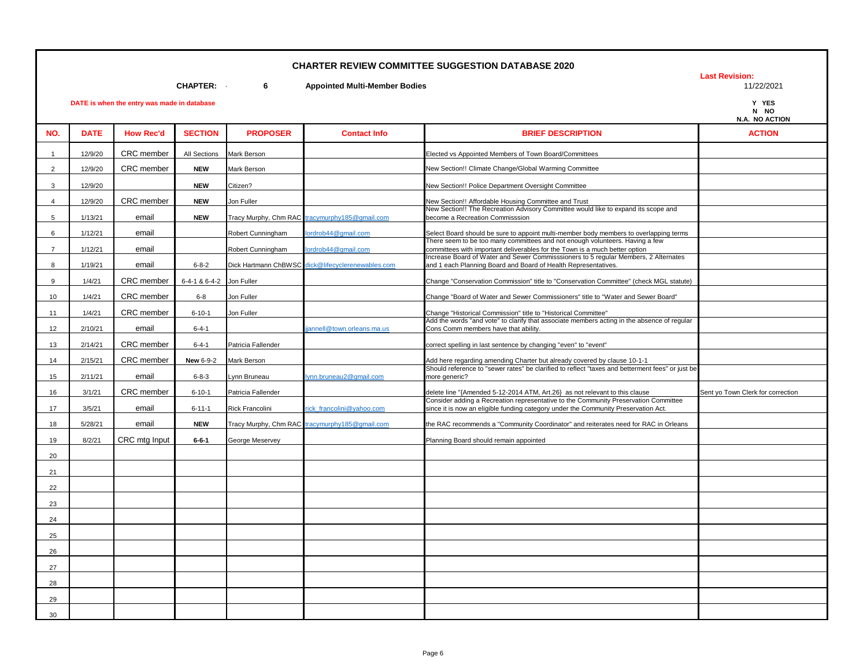**Last Revision:** 

**CHAPTER:** 6 **Appointed Multi-Member Bodies** 

|                | DATE is when the entry was made in database |                   |                   |                      |                                                |                                                                                                                                                                           |                                   |  |  |
|----------------|---------------------------------------------|-------------------|-------------------|----------------------|------------------------------------------------|---------------------------------------------------------------------------------------------------------------------------------------------------------------------------|-----------------------------------|--|--|
| NO.            | <b>DATE</b>                                 | <b>How Rec'd</b>  | <b>SECTION</b>    | <b>PROPOSER</b>      | <b>Contact Info</b>                            | <b>BRIEF DESCRIPTION</b>                                                                                                                                                  | <b>ACTION</b>                     |  |  |
| $\mathbf{1}$   | 12/9/20                                     | <b>CRC</b> member | All Sections      | Mark Berson          |                                                | Elected vs Appointed Members of Town Board/Committees                                                                                                                     |                                   |  |  |
| $\overline{2}$ | 12/9/20                                     | CRC member        | <b>NEW</b>        | Mark Berson          |                                                | New Section!! Climate Change/Global Warming Committee                                                                                                                     |                                   |  |  |
| 3              | 12/9/20                                     |                   | <b>NEW</b>        | Citizen?             |                                                | New Section!! Police Department Oversight Committee                                                                                                                       |                                   |  |  |
| $\overline{4}$ | 12/9/20                                     | CRC member        | <b>NEW</b>        | Jon Fuller           |                                                | New Section!! Affordable Housing Committee and Trust                                                                                                                      |                                   |  |  |
| 5              | 1/13/21                                     | email             | <b>NEW</b>        |                      | Tracy Murphy, Chm RAC tracymurphy185@gmail.com | New Section!! The Recreation Advisory Committee would like to expand its scope and<br>become a Recreation Commisssion                                                     |                                   |  |  |
| 6              | 1/12/21                                     | email             |                   | Robert Cunningham    | ordrob44@gmail.com                             | Select Board should be sure to appoint multi-member body members to overlapping terms                                                                                     |                                   |  |  |
| $\overline{7}$ | 1/12/21                                     | email             |                   | Robert Cunningham    | ordrob44@gmail.com                             | There seem to be too many committees and not enough volunteers. Having a few<br>committees with important deliverables for the Town is a much better option               |                                   |  |  |
| 8              | 1/19/21                                     | email             | $6 - 8 - 2$       | Dick Hartmann ChBWSC | dick@lifecvclerenewables.com                   | Increase Board of Water and Sewer Commisssioners to 5 regular Members, 2 Alternates<br>and 1 each Planning Board and Board of Health Representatives.                     |                                   |  |  |
| 9              | 1/4/21                                      | CRC member        | $6-4-1$ & $6-4-2$ | Jon Fuller           |                                                | Change "Conservation Commission" title to "Conservation Committee" (check MGL statute)                                                                                    |                                   |  |  |
| 10             | 1/4/21                                      | CRC member        | $6 - 8$           | Jon Fuller           |                                                | Change "Board of Water and Sewer Commissioners" title to "Water and Sewer Board"                                                                                          |                                   |  |  |
| 11             | 1/4/21                                      | CRC member        | $6 - 10 - 1$      | Jon Fuller           |                                                | Change "Historical Commission" title to "Historical Committee"                                                                                                            |                                   |  |  |
| 12             | 2/10/21                                     | email             | $6 - 4 - 1$       |                      | jannell@town.orleans.ma.us                     | Add the words "and vote" to clarify that associate members acting in the absence of regular<br>Cons Comm members have that ability.                                       |                                   |  |  |
| 13             | 2/14/21                                     | CRC member        | $6 - 4 - 1$       | Patricia Fallender   |                                                | correct spelling in last sentence by changing "even" to "event"                                                                                                           |                                   |  |  |
| 14             | 2/15/21                                     | CRC member        | <b>New 6-9-2</b>  | Mark Berson          |                                                | Add here regarding amending Charter but already covered by clause 10-1-1                                                                                                  |                                   |  |  |
| 15             | 2/11/21                                     | email             | $6 - 8 - 3$       | vnn Bruneau          | vnn.bruneau2@gmail.com                         | Should reference to "sewer rates" be clarified to reflect "taxes and betterment fees" or just be<br>more generic?                                                         |                                   |  |  |
| 16             | 3/1/21                                      | CRC member        | $6 - 10 - 1$      | Patricia Fallender   |                                                | delete line "{Amended 5-12-2014 ATM, Art.26} as not relevant to this clause                                                                                               | Sent yo Town Clerk for correction |  |  |
| 17             | 3/5/21                                      | email             | $6 - 11 - 1$      | Rick Francolini      | rick francolini@yahoo.com                      | Consider adding a Recreation representative to the Community Preservation Committee<br>since it is now an eligible funding category under the Community Preservation Act. |                                   |  |  |
| 18             | 5/28/21                                     | email             | <b>NEW</b>        |                      | Tracy Murphy, Chm RAC tracymurphy185@gmail.com | the RAC recommends a "Community Coordinator" and reiterates need for RAC in Orleans                                                                                       |                                   |  |  |
| 19             | 8/2/21                                      | CRC mtg Input     | $6 - 6 - 1$       | George Meservey      |                                                | Planning Board should remain appointed                                                                                                                                    |                                   |  |  |
| 20             |                                             |                   |                   |                      |                                                |                                                                                                                                                                           |                                   |  |  |
| 21             |                                             |                   |                   |                      |                                                |                                                                                                                                                                           |                                   |  |  |
| 22             |                                             |                   |                   |                      |                                                |                                                                                                                                                                           |                                   |  |  |
| 23             |                                             |                   |                   |                      |                                                |                                                                                                                                                                           |                                   |  |  |
| 24             |                                             |                   |                   |                      |                                                |                                                                                                                                                                           |                                   |  |  |
| 25             |                                             |                   |                   |                      |                                                |                                                                                                                                                                           |                                   |  |  |
| 26             |                                             |                   |                   |                      |                                                |                                                                                                                                                                           |                                   |  |  |
| 27             |                                             |                   |                   |                      |                                                |                                                                                                                                                                           |                                   |  |  |
| 28             |                                             |                   |                   |                      |                                                |                                                                                                                                                                           |                                   |  |  |
| 29             |                                             |                   |                   |                      |                                                |                                                                                                                                                                           |                                   |  |  |
| 30             |                                             |                   |                   |                      |                                                |                                                                                                                                                                           |                                   |  |  |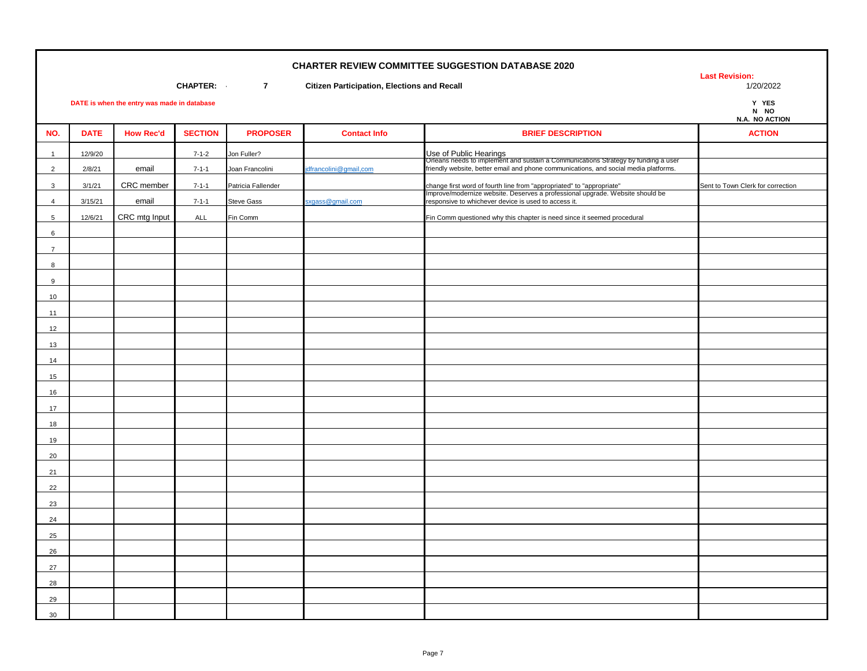**Last Revision:** 

**CHAPTER: 7 Citizen Participation, Elections and Recall** 1/20/2022 1/20/2022

Y YES<br>N NO

| . . | .            |
|-----|--------------|
|     | A. NO ACTION |
|     |              |
|     |              |

|                 | N.A. NO ACTION |                  |                |                    |                       |                                                                                                                                                                                                                |                                   |
|-----------------|----------------|------------------|----------------|--------------------|-----------------------|----------------------------------------------------------------------------------------------------------------------------------------------------------------------------------------------------------------|-----------------------------------|
| NO.             | <b>DATE</b>    | <b>How Rec'd</b> | <b>SECTION</b> | <b>PROPOSER</b>    | <b>Contact Info</b>   | <b>BRIEF DESCRIPTION</b>                                                                                                                                                                                       | <b>ACTION</b>                     |
| $\overline{1}$  | 12/9/20        |                  | $7 - 1 - 2$    | Jon Fuller?        |                       |                                                                                                                                                                                                                |                                   |
| 2               | 2/8/21         | email            | $7 - 1 - 1$    | Joan Francolini    | dfrancolini@gmail.com | Use of Public Hearings<br>Orleans needs to implement and sustain a Communications Strategy by funding a user<br>friendly website, better email and phone communications, and social media platforms.           |                                   |
| $\mathbf{3}$    | 3/1/21         | CRC member       | $7 - 1 - 1$    | Patricia Fallender |                       |                                                                                                                                                                                                                | Sent to Town Clerk for correction |
| $\overline{4}$  | 3/15/21        | email            | $7 - 1 - 1$    | <b>Steve Gass</b>  | xgass@gmail.com       | change first word of fourth line from "appropriated" to "appropriate"<br>Improve/modernize website. Deserves a professional upgrade. Website should be<br>responsive to whichever device is used to access it. |                                   |
| $5\overline{5}$ | 12/6/21        | CRC mtg Input    | ALL            | Fin Comm           |                       | Fin Comm questioned why this chapter is need since it seemed procedural                                                                                                                                        |                                   |
| 6               |                |                  |                |                    |                       |                                                                                                                                                                                                                |                                   |
| $\overline{7}$  |                |                  |                |                    |                       |                                                                                                                                                                                                                |                                   |
| 8               |                |                  |                |                    |                       |                                                                                                                                                                                                                |                                   |
| 9               |                |                  |                |                    |                       |                                                                                                                                                                                                                |                                   |
| 10              |                |                  |                |                    |                       |                                                                                                                                                                                                                |                                   |
| 11              |                |                  |                |                    |                       |                                                                                                                                                                                                                |                                   |
| 12              |                |                  |                |                    |                       |                                                                                                                                                                                                                |                                   |
| 13              |                |                  |                |                    |                       |                                                                                                                                                                                                                |                                   |
| 14              |                |                  |                |                    |                       |                                                                                                                                                                                                                |                                   |
| 15              |                |                  |                |                    |                       |                                                                                                                                                                                                                |                                   |
| 16              |                |                  |                |                    |                       |                                                                                                                                                                                                                |                                   |
| 17              |                |                  |                |                    |                       |                                                                                                                                                                                                                |                                   |
| 18              |                |                  |                |                    |                       |                                                                                                                                                                                                                |                                   |
| 19              |                |                  |                |                    |                       |                                                                                                                                                                                                                |                                   |
| 20              |                |                  |                |                    |                       |                                                                                                                                                                                                                |                                   |
| 21              |                |                  |                |                    |                       |                                                                                                                                                                                                                |                                   |
| 22              |                |                  |                |                    |                       |                                                                                                                                                                                                                |                                   |
| 23              |                |                  |                |                    |                       |                                                                                                                                                                                                                |                                   |
| 24              |                |                  |                |                    |                       |                                                                                                                                                                                                                |                                   |
| 25              |                |                  |                |                    |                       |                                                                                                                                                                                                                |                                   |
| 26              |                |                  |                |                    |                       |                                                                                                                                                                                                                |                                   |
| 27              |                |                  |                |                    |                       |                                                                                                                                                                                                                |                                   |
| 28              |                |                  |                |                    |                       |                                                                                                                                                                                                                |                                   |
| 29              |                |                  |                |                    |                       |                                                                                                                                                                                                                |                                   |
| 30              |                |                  |                |                    |                       |                                                                                                                                                                                                                |                                   |
|                 |                |                  |                |                    |                       |                                                                                                                                                                                                                |                                   |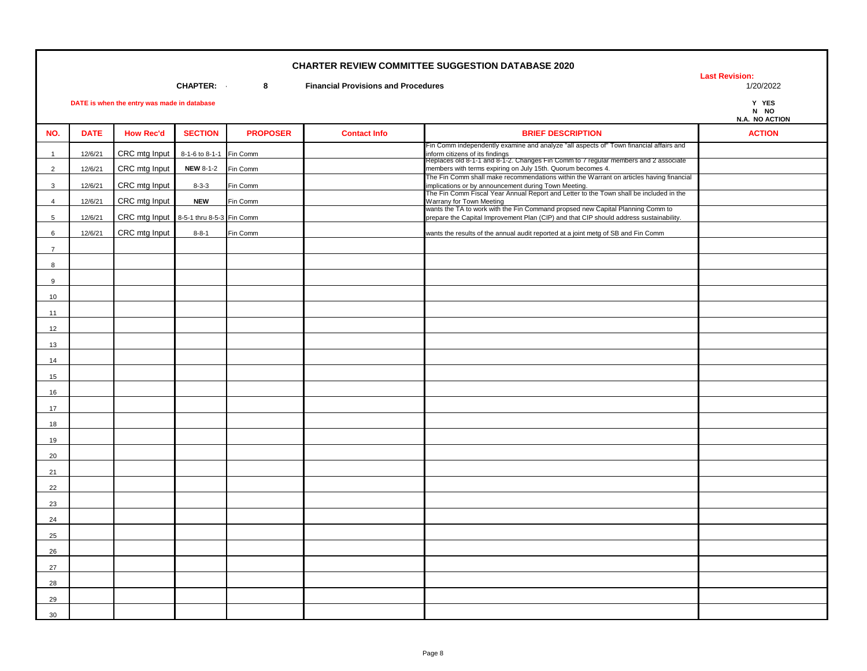**Last Revision:** 

**CHAPTER:** 8 **Financial Provisions and Procedures** 

Y YES<br>N NO

|                |             |                  |                  |                 |                     |                                                                                                                                                                                                                  | N.A. NO ACTION |
|----------------|-------------|------------------|------------------|-----------------|---------------------|------------------------------------------------------------------------------------------------------------------------------------------------------------------------------------------------------------------|----------------|
| NO.            | <b>DATE</b> | <b>How Rec'd</b> | <b>SECTION</b>   | <b>PROPOSER</b> | <b>Contact Info</b> | <b>BRIEF DESCRIPTION</b>                                                                                                                                                                                         | <b>ACTION</b>  |
| $\mathbf{1}$   | 12/6/21     | CRC mtg Input    | 8-1-6 to 8-1-1   | Fin Comm        |                     | Fin Comm independently examine and analyze "all aspects of" Town financial affairs and<br>inform citizens of its findings<br>Replaces old 8-1-1 and 8-1-2. Changes Fin Comm to 7 regular members and 2 associate |                |
| $\overline{2}$ | 12/6/21     | CRC mtg Input    | <b>NEW 8-1-2</b> | Fin Comm        |                     | members with terms expiring on July 15th. Quorum becomes 4.                                                                                                                                                      |                |
| $\mathbf{3}$   | 12/6/21     | CRC mtg Input    | $8 - 3 - 3$      | Fin Comm        |                     | The Fin Comm shall make recommendations within the Warrant on articles having financial<br>implications or by announcement during Town Meeting.                                                                  |                |
| $\overline{4}$ | 12/6/21     | CRC mtg Input    | <b>NEW</b>       | Fin Comm        |                     | The Fin Comm Fiscal Year Annual Report and Letter to the Town shall be included in the                                                                                                                           |                |
| 5              | 12/6/21     | CRC mtg Input    | 8-5-1 thru 8-5-3 | Fin Comm        |                     | Warrany for Town Meeting<br>wants the TA to work with the Fin Command propsed new Capital Planning Comm to<br>prepare the Capital Improvement Plan (CIP) and that CIP should address sustainability.             |                |
|                |             |                  |                  |                 |                     |                                                                                                                                                                                                                  |                |
| 6              | 12/6/21     | CRC mtg Input    | $8 - 8 - 1$      | Fin Comm        |                     | wants the results of the annual audit reported at a joint metg of SB and Fin Comm                                                                                                                                |                |
| $\overline{7}$ |             |                  |                  |                 |                     |                                                                                                                                                                                                                  |                |
| 8              |             |                  |                  |                 |                     |                                                                                                                                                                                                                  |                |
| 9              |             |                  |                  |                 |                     |                                                                                                                                                                                                                  |                |
| 10             |             |                  |                  |                 |                     |                                                                                                                                                                                                                  |                |
| 11             |             |                  |                  |                 |                     |                                                                                                                                                                                                                  |                |
| 12             |             |                  |                  |                 |                     |                                                                                                                                                                                                                  |                |
| 13             |             |                  |                  |                 |                     |                                                                                                                                                                                                                  |                |
| 14             |             |                  |                  |                 |                     |                                                                                                                                                                                                                  |                |
| 15             |             |                  |                  |                 |                     |                                                                                                                                                                                                                  |                |
| 16             |             |                  |                  |                 |                     |                                                                                                                                                                                                                  |                |
| 17             |             |                  |                  |                 |                     |                                                                                                                                                                                                                  |                |
| 18             |             |                  |                  |                 |                     |                                                                                                                                                                                                                  |                |
| 19             |             |                  |                  |                 |                     |                                                                                                                                                                                                                  |                |
| 20             |             |                  |                  |                 |                     |                                                                                                                                                                                                                  |                |
| 21             |             |                  |                  |                 |                     |                                                                                                                                                                                                                  |                |
| 22             |             |                  |                  |                 |                     |                                                                                                                                                                                                                  |                |
| 23             |             |                  |                  |                 |                     |                                                                                                                                                                                                                  |                |
| 24             |             |                  |                  |                 |                     |                                                                                                                                                                                                                  |                |
| 25             |             |                  |                  |                 |                     |                                                                                                                                                                                                                  |                |
| 26             |             |                  |                  |                 |                     |                                                                                                                                                                                                                  |                |
| 27             |             |                  |                  |                 |                     |                                                                                                                                                                                                                  |                |
| 28             |             |                  |                  |                 |                     |                                                                                                                                                                                                                  |                |
|                |             |                  |                  |                 |                     |                                                                                                                                                                                                                  |                |
| 29             |             |                  |                  |                 |                     |                                                                                                                                                                                                                  |                |
| 30             |             |                  |                  |                 |                     |                                                                                                                                                                                                                  |                |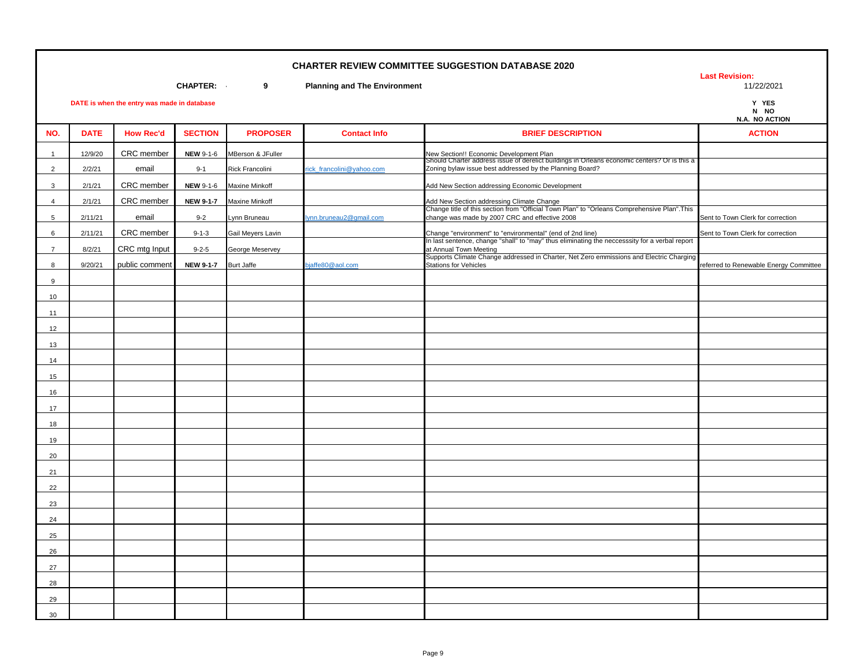**Last Revision:** 

**CHAPTER: - 9 Planning and The Environment** 11/22/2021

| N NO |                |
|------|----------------|
|      | N.A. NO ACTION |

|                |             |                  |                  |                        |                          |                                                                                                                                                             | N.A. NO ACTION                         |
|----------------|-------------|------------------|------------------|------------------------|--------------------------|-------------------------------------------------------------------------------------------------------------------------------------------------------------|----------------------------------------|
| NO.            | <b>DATE</b> | <b>How Rec'd</b> | <b>SECTION</b>   | <b>PROPOSER</b>        | <b>Contact Info</b>      | <b>BRIEF DESCRIPTION</b>                                                                                                                                    | <b>ACTION</b>                          |
| $\overline{1}$ | 12/9/20     | CRC member       | <b>NEW 9-1-6</b> | MBerson & JFuller      |                          | New Section!! Economic Development Plan<br>Should Charter address issue of derelict buildings in Orleans economic centers? Or is this a                     |                                        |
| $\overline{2}$ | 2/2/21      | email            | $9 - 1$          | <b>Rick Francolini</b> | ick francolini@yahoo.com | Zoning bylaw issue best addressed by the Planning Board?                                                                                                    |                                        |
| 3              | 2/1/21      | CRC member       | <b>NEW 9-1-6</b> | <b>Maxine Minkoff</b>  |                          | Add New Section addressing Economic Development                                                                                                             |                                        |
| $\overline{4}$ | 2/1/21      | CRC member       | <b>NEW 9-1-7</b> | <b>Maxine Minkoff</b>  |                          | Add New Section addressing Climate Change<br>Change title of this section from "Official Town Plan" to "Orleans Comprehensive Plan".This                    |                                        |
| 5              | 2/11/21     | email            | $9 - 2$          | Lynn Bruneau           | lynn.bruneau2@gmail.com  | change was made by 2007 CRC and effective 2008                                                                                                              | Sent to Town Clerk for correction      |
| 6              | 2/11/21     | CRC member       | $9 - 1 - 3$      | Gail Meyers Lavin      |                          | Change "environment" to "environmental" (end of 2nd line)<br>In last sentence, change "shall" to "may" thus eliminating the neccesssity for a verbal report | Sent to Town Clerk for correction      |
| $\overline{7}$ | 8/2/21      | CRC mtg Input    | $9 - 2 - 5$      | George Meservey        |                          | at Annual Town Meeting                                                                                                                                      |                                        |
|                |             |                  |                  |                        |                          | Supports Climate Change addressed in Charter, Net Zero emmissions and Electric Charging                                                                     |                                        |
| 8              | 9/20/21     | public comment   | <b>NEW 9-1-7</b> | <b>Burt Jaffe</b>      | piaffe80@aol.com         | <b>Stations for Vehicles</b>                                                                                                                                | referred to Renewable Energy Committee |
| 9              |             |                  |                  |                        |                          |                                                                                                                                                             |                                        |
| 10             |             |                  |                  |                        |                          |                                                                                                                                                             |                                        |
| 11             |             |                  |                  |                        |                          |                                                                                                                                                             |                                        |
| 12             |             |                  |                  |                        |                          |                                                                                                                                                             |                                        |
| 13             |             |                  |                  |                        |                          |                                                                                                                                                             |                                        |
| 14             |             |                  |                  |                        |                          |                                                                                                                                                             |                                        |
| 15             |             |                  |                  |                        |                          |                                                                                                                                                             |                                        |
| 16             |             |                  |                  |                        |                          |                                                                                                                                                             |                                        |
| 17             |             |                  |                  |                        |                          |                                                                                                                                                             |                                        |
| 18             |             |                  |                  |                        |                          |                                                                                                                                                             |                                        |
| 19             |             |                  |                  |                        |                          |                                                                                                                                                             |                                        |
| 20             |             |                  |                  |                        |                          |                                                                                                                                                             |                                        |
| 21             |             |                  |                  |                        |                          |                                                                                                                                                             |                                        |
| 22             |             |                  |                  |                        |                          |                                                                                                                                                             |                                        |
| 23             |             |                  |                  |                        |                          |                                                                                                                                                             |                                        |
| 24             |             |                  |                  |                        |                          |                                                                                                                                                             |                                        |
| 25             |             |                  |                  |                        |                          |                                                                                                                                                             |                                        |
| 26             |             |                  |                  |                        |                          |                                                                                                                                                             |                                        |
| 27             |             |                  |                  |                        |                          |                                                                                                                                                             |                                        |
| 28             |             |                  |                  |                        |                          |                                                                                                                                                             |                                        |
| 29             |             |                  |                  |                        |                          |                                                                                                                                                             |                                        |
| 30             |             |                  |                  |                        |                          |                                                                                                                                                             |                                        |
|                |             |                  |                  |                        |                          |                                                                                                                                                             |                                        |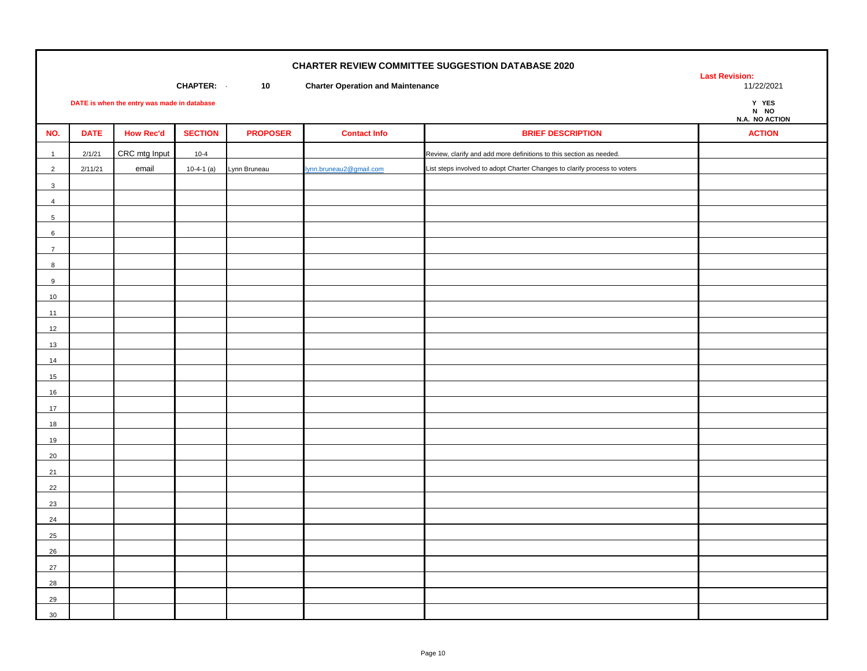| <b>CHARTER REVIEW COMMITTEE SUGGESTION DATABASE 2020</b><br><b>CHAPTER:</b><br>10<br><b>Charter Operation and Maintenance</b><br>DATE is when the entry was made in database |             |                  |                |                 |                         |                                                                           | <b>Last Revision:</b><br>11/22/2021<br>Y YES<br>N NO<br>N.A. NO ACTION |
|------------------------------------------------------------------------------------------------------------------------------------------------------------------------------|-------------|------------------|----------------|-----------------|-------------------------|---------------------------------------------------------------------------|------------------------------------------------------------------------|
| NO.                                                                                                                                                                          | <b>DATE</b> | <b>How Rec'd</b> | <b>SECTION</b> | <b>PROPOSER</b> | <b>Contact Info</b>     | <b>BRIEF DESCRIPTION</b>                                                  | <b>ACTION</b>                                                          |
| $\mathbf{1}$                                                                                                                                                                 | 2/1/21      | CRC mtg Input    | $10 - 4$       |                 |                         | Review, clarify and add more definitions to this section as needed.       |                                                                        |
| $\overline{2}$                                                                                                                                                               | 2/11/21     | email            | $10-4-1$ (a)   | Lynn Bruneau    | lynn.bruneau2@gmail.com | List steps involved to adopt Charter Changes to clarify process to voters |                                                                        |
| $\mathbf{3}$                                                                                                                                                                 |             |                  |                |                 |                         |                                                                           |                                                                        |
| $\overline{4}$                                                                                                                                                               |             |                  |                |                 |                         |                                                                           |                                                                        |
| 5 <sup>5</sup>                                                                                                                                                               |             |                  |                |                 |                         |                                                                           |                                                                        |
| $6\overline{6}$                                                                                                                                                              |             |                  |                |                 |                         |                                                                           |                                                                        |
| $\overline{7}$                                                                                                                                                               |             |                  |                |                 |                         |                                                                           |                                                                        |
| 8                                                                                                                                                                            |             |                  |                |                 |                         |                                                                           |                                                                        |
| $9\,$                                                                                                                                                                        |             |                  |                |                 |                         |                                                                           |                                                                        |
| 10                                                                                                                                                                           |             |                  |                |                 |                         |                                                                           |                                                                        |
| 11<br>12                                                                                                                                                                     |             |                  |                |                 |                         |                                                                           |                                                                        |
| 13                                                                                                                                                                           |             |                  |                |                 |                         |                                                                           |                                                                        |
| 14                                                                                                                                                                           |             |                  |                |                 |                         |                                                                           |                                                                        |
| 15                                                                                                                                                                           |             |                  |                |                 |                         |                                                                           |                                                                        |
| 16                                                                                                                                                                           |             |                  |                |                 |                         |                                                                           |                                                                        |
| 17                                                                                                                                                                           |             |                  |                |                 |                         |                                                                           |                                                                        |
| 18                                                                                                                                                                           |             |                  |                |                 |                         |                                                                           |                                                                        |
| 19                                                                                                                                                                           |             |                  |                |                 |                         |                                                                           |                                                                        |
| $20\,$                                                                                                                                                                       |             |                  |                |                 |                         |                                                                           |                                                                        |
| 21                                                                                                                                                                           |             |                  |                |                 |                         |                                                                           |                                                                        |
| 22                                                                                                                                                                           |             |                  |                |                 |                         |                                                                           |                                                                        |
| 23                                                                                                                                                                           |             |                  |                |                 |                         |                                                                           |                                                                        |
| 24                                                                                                                                                                           |             |                  |                |                 |                         |                                                                           |                                                                        |
| 25                                                                                                                                                                           |             |                  |                |                 |                         |                                                                           |                                                                        |
| 26                                                                                                                                                                           |             |                  |                |                 |                         |                                                                           |                                                                        |
| 27                                                                                                                                                                           |             |                  |                |                 |                         |                                                                           |                                                                        |
| 28                                                                                                                                                                           |             |                  |                |                 |                         |                                                                           |                                                                        |
| 29<br>30 <sup>°</sup>                                                                                                                                                        |             |                  |                |                 |                         |                                                                           |                                                                        |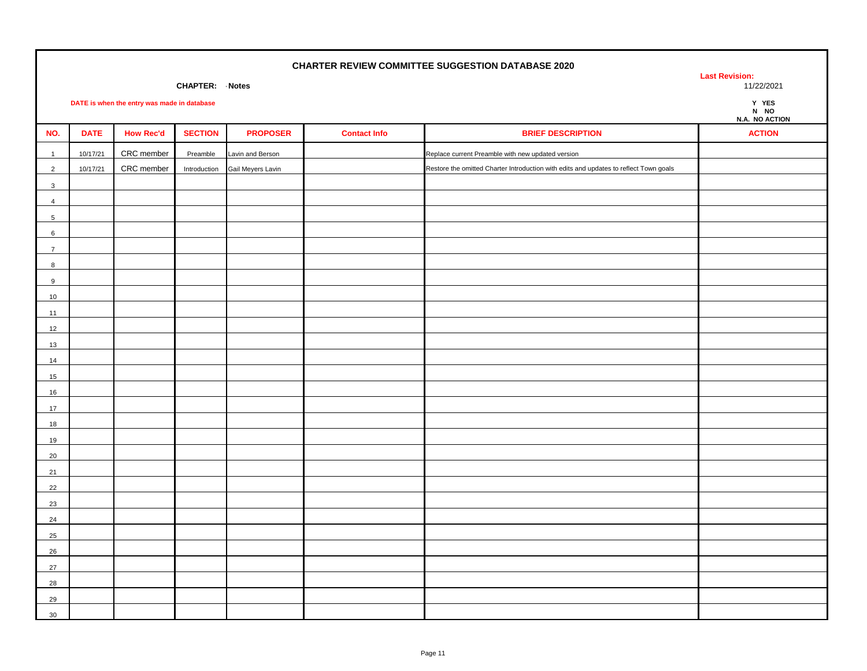**CHAPTER: Notes** 

**DATE is when the entry was made in database Y YES**

**Last Revision:** 

**N NO**

|                  |             |                  |                |                   |                     |                                                                                       | N.A. NO ACTION |
|------------------|-------------|------------------|----------------|-------------------|---------------------|---------------------------------------------------------------------------------------|----------------|
| NO.              | <b>DATE</b> | <b>How Rec'd</b> | <b>SECTION</b> | <b>PROPOSER</b>   | <b>Contact Info</b> | <b>BRIEF DESCRIPTION</b>                                                              | <b>ACTION</b>  |
| $\overline{1}$   | 10/17/21    | CRC member       | Preamble       | Lavin and Berson  |                     | Replace current Preamble with new updated version                                     |                |
| $\overline{2}$   | 10/17/21    | CRC member       | Introduction   | Gail Meyers Lavin |                     | Restore the omitted Charter Introduction with edits and updates to reflect Town goals |                |
| $\mathbf{3}$     |             |                  |                |                   |                     |                                                                                       |                |
| $\overline{4}$   |             |                  |                |                   |                     |                                                                                       |                |
| 5                |             |                  |                |                   |                     |                                                                                       |                |
| $\,6\,$          |             |                  |                |                   |                     |                                                                                       |                |
| $\overline{7}$   |             |                  |                |                   |                     |                                                                                       |                |
| $\boldsymbol{8}$ |             |                  |                |                   |                     |                                                                                       |                |
| $\boldsymbol{9}$ |             |                  |                |                   |                     |                                                                                       |                |
| 10               |             |                  |                |                   |                     |                                                                                       |                |
| 11               |             |                  |                |                   |                     |                                                                                       |                |
| 12               |             |                  |                |                   |                     |                                                                                       |                |
| 13               |             |                  |                |                   |                     |                                                                                       |                |
| 14               |             |                  |                |                   |                     |                                                                                       |                |
| 15               |             |                  |                |                   |                     |                                                                                       |                |
| 16               |             |                  |                |                   |                     |                                                                                       |                |
| 17               |             |                  |                |                   |                     |                                                                                       |                |
| 18               |             |                  |                |                   |                     |                                                                                       |                |
| 19               |             |                  |                |                   |                     |                                                                                       |                |
| 20               |             |                  |                |                   |                     |                                                                                       |                |
| 21               |             |                  |                |                   |                     |                                                                                       |                |
| 22               |             |                  |                |                   |                     |                                                                                       |                |
| 23               |             |                  |                |                   |                     |                                                                                       |                |
| 24               |             |                  |                |                   |                     |                                                                                       |                |
| 25               |             |                  |                |                   |                     |                                                                                       |                |
| 26               |             |                  |                |                   |                     |                                                                                       |                |
| 27               |             |                  |                |                   |                     |                                                                                       |                |
| 28               |             |                  |                |                   |                     |                                                                                       |                |
| 29               |             |                  |                |                   |                     |                                                                                       |                |
| 30               |             |                  |                |                   |                     |                                                                                       |                |